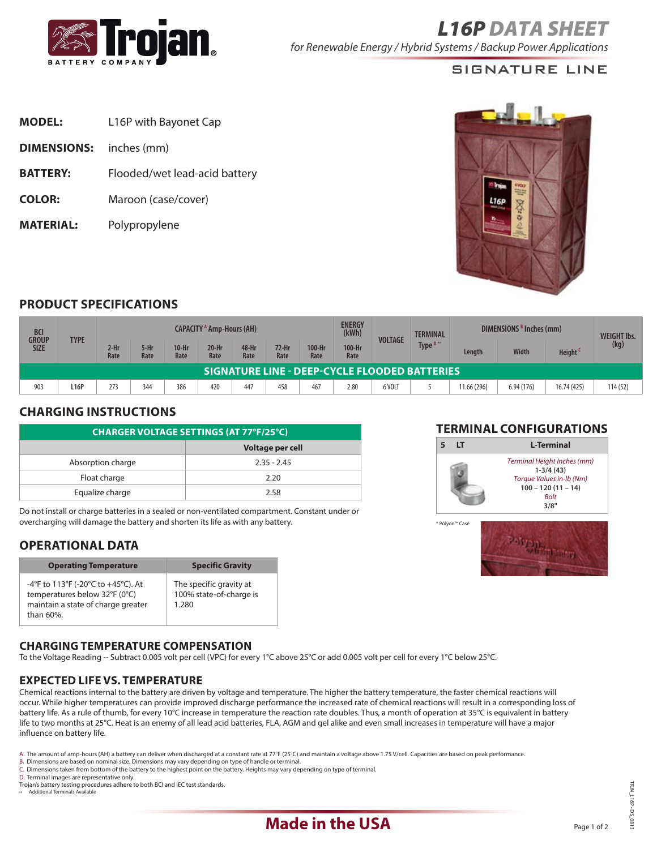

## signature Line

| <b>MODEL:</b>      | L16P with Bayonet Cap         |
|--------------------|-------------------------------|
| <b>DIMENSIONS:</b> | inches (mm)                   |
| <b>BATTERY:</b>    | Flooded/wet lead-acid battery |
| <b>COLOR:</b>      | Maroon (case/cover)           |
| <b>MATERIAL:</b>   | Polypropylene                 |



### **Product SpecificationS**

| <b>BCI</b><br><b>GROUP</b><br><b>SIZE</b>            | <b>TYPE</b> | CAPACITY <sup>A</sup> Amp-Hours (AH) |              |                 |                 |               |               | <b>ENERGY</b><br>(kWh) | <b>VOLTAGE</b> | <b>TERMINAL</b> | DIMENSIONS $B$ Inches (mm) |             |              | <b>WEIGHT Ibs.</b>  |         |
|------------------------------------------------------|-------------|--------------------------------------|--------------|-----------------|-----------------|---------------|---------------|------------------------|----------------|-----------------|----------------------------|-------------|--------------|---------------------|---------|
|                                                      |             | $2-Hr$<br>Rate                       | 5-Hr<br>Rate | $10-Hr$<br>Rate | $20-Hr$<br>Rate | 48-Hr<br>Rate | 72-Hr<br>Rate | 100-Hr<br>Rate         | 100-Hr<br>Rate |                 | Type <sup>D**</sup>        | Length      | <b>Width</b> | Height <sup>C</sup> | (kg)    |
| <b>SIGNATURE LINE - DEEP-CYCLE FLOODED BATTERIES</b> |             |                                      |              |                 |                 |               |               |                        |                |                 |                            |             |              |                     |         |
| 903                                                  | L16P        | 273                                  | 344          | 386             | 420             | 447           | 458           | 467                    | 2.80           | 6 VOLT          |                            | 11.66 (296) | 6.94(176)    | 16.74 (425)         | 114(52) |

### **Charging Instructions**

| <b>CHARGER VOLTAGE SETTINGS (AT 77°F/25°C)</b> |                  |  |  |  |  |
|------------------------------------------------|------------------|--|--|--|--|
|                                                | Voltage per cell |  |  |  |  |
| Absorption charge                              | $2.35 - 2.45$    |  |  |  |  |
| Float charge                                   | 2.20             |  |  |  |  |
| Equalize charge                                | 2.58             |  |  |  |  |

Do not install or charge batteries in a sealed or non-ventilated compartment. Constant under or overcharging will damage the battery and shorten its life as with any battery.

## **operational data**

| <b>Operating Temperature</b>                                                                                           | <b>Specific Gravity</b>                                     |
|------------------------------------------------------------------------------------------------------------------------|-------------------------------------------------------------|
| -4°F to 113°F (-20°C to +45°C). At<br>temperatures below 32°F (0°C)<br>maintain a state of charge greater<br>than 60%. | The specific gravity at<br>100% state-of-charge is<br>1.280 |

#### **Charging temperature compensation**

To the Voltage Reading -- Subtract 0.005 volt per cell (VPC) for every 1°C above 25°C or add 0.005 volt per cell for every 1°C below 25°C.

#### **Expected life vS. Temperature**

Chemical reactions internal to the battery are driven by voltage and temperature. The higher the battery temperature, the faster chemical reactions will occur. While higher temperatures can provide improved discharge performance the increased rate of chemical reactions will result in a corresponding loss of battery life. As a rule of thumb, for every 10°C increase in temperature the reaction rate doubles. Thus, a month of operation at 35°C is equivalent in battery life to two months at 25°C. Heat is an enemy of all lead acid batteries, FLA, AGM and gel alike and even small increases in temperature will have a major influence on battery life.

- 
- C. Dimensions taken from bottom of the battery to the highest point on the battery. Heights may vary depending on type of terminal. D. Terminal images are representative only.
- Trojan's battery testing procedures adhere to both BCI and IEC test standards.
- .<br>• Additional Te

#### **TERMINAL CONFIGURATIONS**





A. The amount of amp-hours (AH) a battery can deliver when discharged at a constant rate at 77°F (25°C) and maintain a voltage above 1.75 V/cell. Capacities are based on peak performance.<br>B. Dimensions are based on nomina